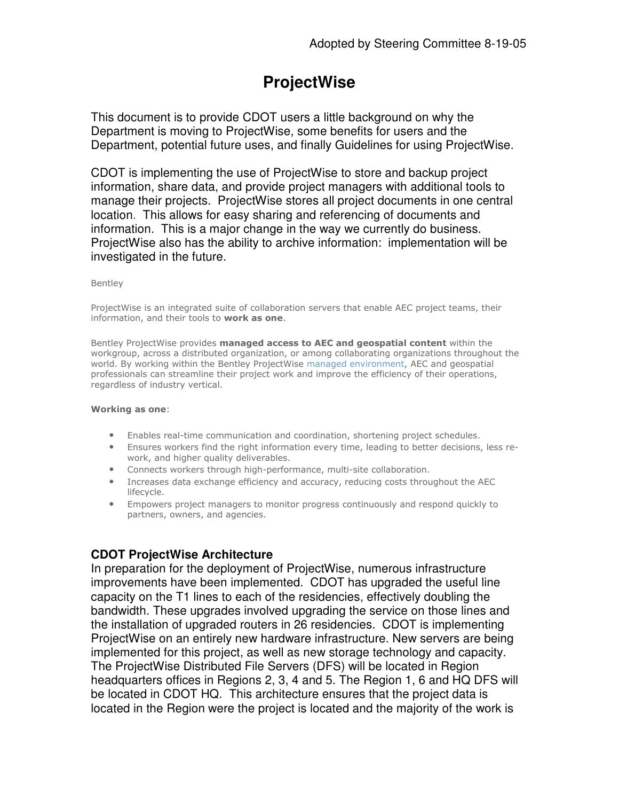# **ProjectWise**

This document is to provide CDOT users a little background on why the Department is moving to ProjectWise, some benefits for users and the Department, potential future uses, and finally Guidelines for using ProjectWise.

CDOT is implementing the use of ProjectWise to store and backup project information, share data, and provide project managers with additional tools to manage their projects. ProjectWise stores all project documents in one central location. This allows for easy sharing and referencing of documents and information. This is a major change in the way we currently do business. ProjectWise also has the ability to archive information: implementation will be investigated in the future.

### **Bentley**

ProjectWise is an integrated suite of collaboration servers that enable AEC project teams, their information, and their tools to work as one.

Bentley ProjectWise provides managed access to AEC and geospatial content within the workgroup, across a distributed organization, or among collaborating organizations throughout the world. By working within the Bentley ProjectWise managed environment, AEC and geospatial professionals can streamline their project work and improve the efficiency of their operations, regardless of industry vertical.

#### Working as one:

- Enables real-time communication and coordination, shortening project schedules.
- Ensures workers find the right information every time, leading to better decisions, less rework, and higher quality deliverables.
- Connects workers through high-performance, multi-site collaboration.
- Increases data exchange efficiency and accuracy, reducing costs throughout the AEC lifecycle.
- Empowers project managers to monitor progress continuously and respond quickly to partners, owners, and agencies.

## **CDOT ProjectWise Architecture**

In preparation for the deployment of ProjectWise, numerous infrastructure improvements have been implemented. CDOT has upgraded the useful line capacity on the T1 lines to each of the residencies, effectively doubling the bandwidth. These upgrades involved upgrading the service on those lines and the installation of upgraded routers in 26 residencies. CDOT is implementing ProjectWise on an entirely new hardware infrastructure. New servers are being implemented for this project, as well as new storage technology and capacity. The ProjectWise Distributed File Servers (DFS) will be located in Region headquarters offices in Regions 2, 3, 4 and 5. The Region 1, 6 and HQ DFS will be located in CDOT HQ. This architecture ensures that the project data is located in the Region were the project is located and the majority of the work is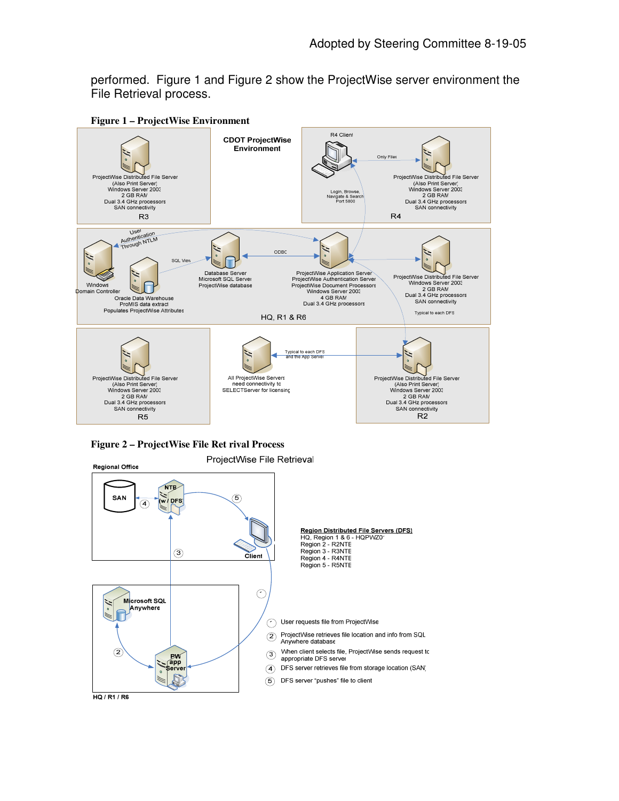performed. Figure 1 and Figure 2 show the ProjectWise server environment the File Retrieval process.



**Figure 1 – ProjectWise Environment**

**Figure 2 – ProjectWise File Ret rival Process**

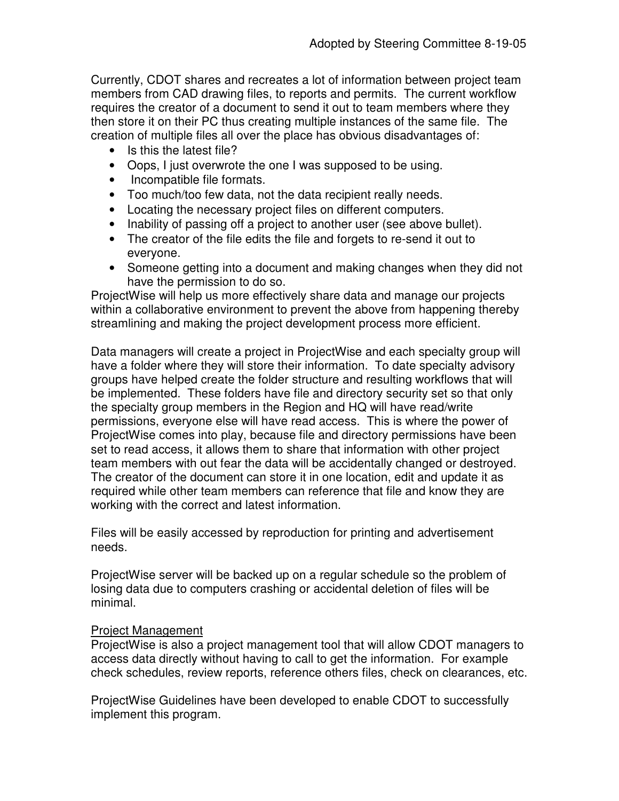Currently, CDOT shares and recreates a lot of information between project team members from CAD drawing files, to reports and permits. The current workflow requires the creator of a document to send it out to team members where they then store it on their PC thus creating multiple instances of the same file. The creation of multiple files all over the place has obvious disadvantages of:

- Is this the latest file?
- Oops, I just overwrote the one I was supposed to be using.
- Incompatible file formats.
- Too much/too few data, not the data recipient really needs.
- Locating the necessary project files on different computers.
- Inability of passing off a project to another user (see above bullet).
- The creator of the file edits the file and forgets to re-send it out to everyone.
- Someone getting into a document and making changes when they did not have the permission to do so.

ProjectWise will help us more effectively share data and manage our projects within a collaborative environment to prevent the above from happening thereby streamlining and making the project development process more efficient.

Data managers will create a project in ProjectWise and each specialty group will have a folder where they will store their information. To date specialty advisory groups have helped create the folder structure and resulting workflows that will be implemented. These folders have file and directory security set so that only the specialty group members in the Region and HQ will have read/write permissions, everyone else will have read access. This is where the power of ProjectWise comes into play, because file and directory permissions have been set to read access, it allows them to share that information with other project team members with out fear the data will be accidentally changed or destroyed. The creator of the document can store it in one location, edit and update it as required while other team members can reference that file and know they are working with the correct and latest information.

Files will be easily accessed by reproduction for printing and advertisement needs.

ProjectWise server will be backed up on a regular schedule so the problem of losing data due to computers crashing or accidental deletion of files will be minimal.

# Project Management

ProjectWise is also a project management tool that will allow CDOT managers to access data directly without having to call to get the information. For example check schedules, review reports, reference others files, check on clearances, etc.

ProjectWise Guidelines have been developed to enable CDOT to successfully implement this program.